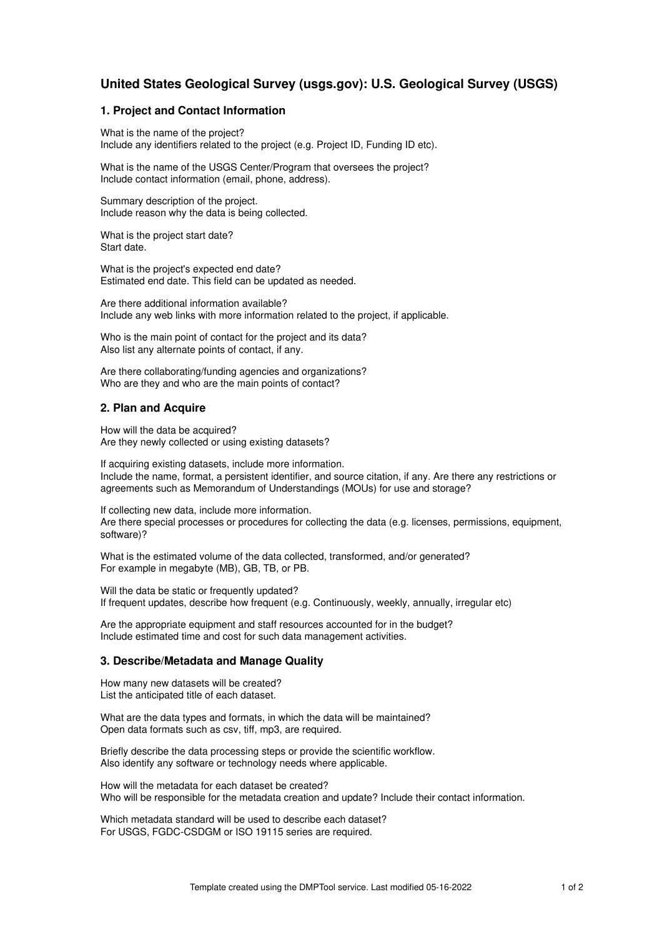# **United States Geological Survey (usgs.gov): U.S. Geological Survey (USGS)**

## **1. Project and Contact Information**

What is the name of the project? Include any identifiers related to the project (e.g. Project ID, Funding ID etc).

What is the name of the USGS Center/Program that oversees the project? Include contact information (email, phone, address).

Summary description of the project. Include reason why the data is being collected.

What is the project start date? Start date.

What is the project's expected end date? Estimated end date. This field can be updated as needed.

Are there additional information available? Include any web links with more information related to the project, if applicable.

Who is the main point of contact for the project and its data? Also list any alternate points of contact, if any.

Are there collaborating/funding agencies and organizations? Who are they and who are the main points of contact?

### **2. Plan and Acquire**

How will the data be acquired? Are they newly collected or using existing datasets?

If acquiring existing datasets, include more information. Include the name, format, a persistent identifier, and source citation, if any. Are there any restrictions or agreements such as Memorandum of Understandings (MOUs) for use and storage?

If collecting new data, include more information. Are there special processes or procedures for collecting the data (e.g. licenses, permissions, equipment, software)?

What is the estimated volume of the data collected, transformed, and/or generated? For example in megabyte (MB), GB, TB, or PB.

Will the data be static or frequently updated? If frequent updates, describe how frequent (e.g. Continuously, weekly, annually, irregular etc)

Are the appropriate equipment and staff resources accounted for in the budget? Include estimated time and cost for such data management activities.

# **3. Describe/Metadata and Manage Quality**

How many new datasets will be created? List the anticipated title of each dataset.

What are the data types and formats, in which the data will be maintained? Open data formats such as csv, tiff, mp3, are required.

Briefly describe the data processing steps or provide the scientific workflow. Also identify any software or technology needs where applicable.

How will the metadata for each dataset be created? Who will be responsible for the metadata creation and update? Include their contact information.

Which metadata standard will be used to describe each dataset? For USGS, FGDC-CSDGM or ISO 19115 series are required.